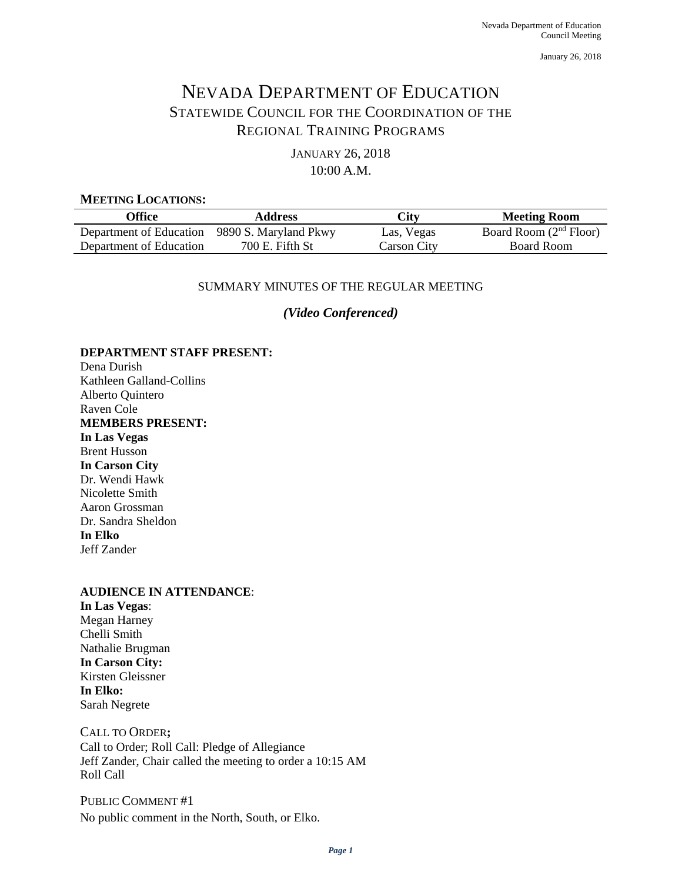January 26, 2018

# NEVADA DEPARTMENT OF EDUCATION STATEWIDE COUNCIL FOR THE COORDINATION OF THE REGIONAL TRAINING PROGRAMS

JANUARY 26, 2018 10:00 A.M.

#### **MEETING LOCATIONS:**

| Office                                        | <b>Address</b>  | City        | <b>Meeting Room</b>      |
|-----------------------------------------------|-----------------|-------------|--------------------------|
| Department of Education 9890 S. Maryland Pkwy |                 | Las, Vegas  | Board Room $(2nd$ Floor) |
| Department of Education                       | 700 E. Fifth St | Carson City | Board Room               |

## SUMMARY MINUTES OF THE REGULAR MEETING

*(Video Conferenced)*

## **DEPARTMENT STAFF PRESENT:**

Dena Durish Kathleen Galland-Collins Alberto Quintero Raven Cole **MEMBERS PRESENT: In Las Vegas** Brent Husson **In Carson City** Dr. Wendi Hawk Nicolette Smith Aaron Grossman Dr. Sandra Sheldon **In Elko** Jeff Zander

## **AUDIENCE IN ATTENDANCE**:

**In Las Vegas**: Megan Harney Chelli Smith Nathalie Brugman **In Carson City:** Kirsten Gleissner **In Elko:** Sarah Negrete

CALL TO ORDER**;**  Call to Order; Roll Call: Pledge of Allegiance Jeff Zander, Chair called the meeting to order a 10:15 AM Roll Call

PUBLIC COMMENT #1 No public comment in the North, South, or Elko.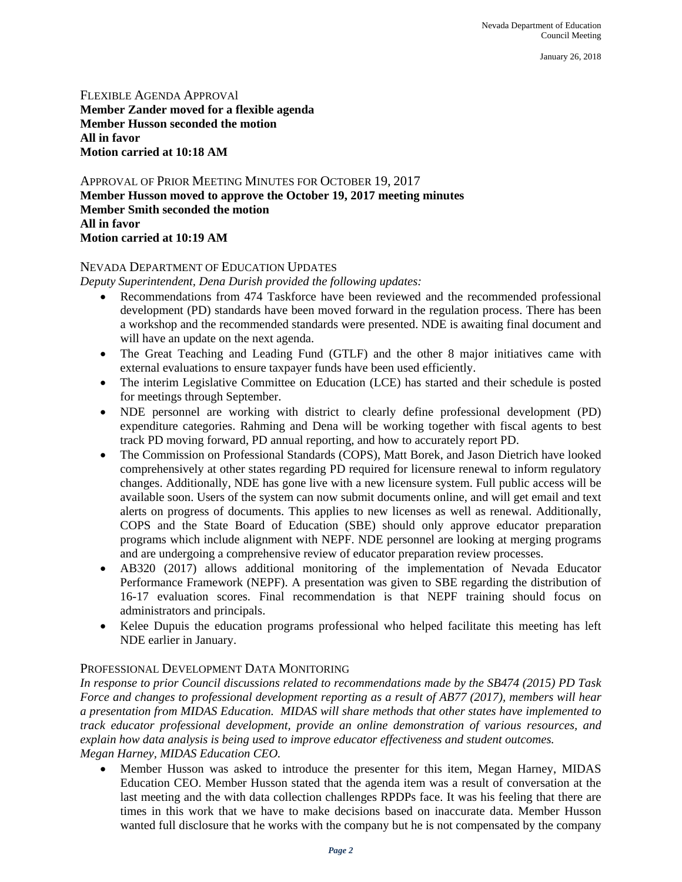January 26, 2018

FLEXIBLE AGENDA APPROVAl **Member Zander moved for a flexible agenda Member Husson seconded the motion All in favor Motion carried at 10:18 AM**

APPROVAL OF PRIOR MEETING MINUTES FOR OCTOBER 19, 2017 **Member Husson moved to approve the October 19, 2017 meeting minutes Member Smith seconded the motion All in favor Motion carried at 10:19 AM**

## NEVADA DEPARTMENT OF EDUCATION UPDATES

*Deputy Superintendent, Dena Durish provided the following updates:* 

- Recommendations from 474 Taskforce have been reviewed and the recommended professional development (PD) standards have been moved forward in the regulation process. There has been a workshop and the recommended standards were presented. NDE is awaiting final document and will have an update on the next agenda.
- The Great Teaching and Leading Fund (GTLF) and the other 8 major initiatives came with external evaluations to ensure taxpayer funds have been used efficiently.
- The interim Legislative Committee on Education (LCE) has started and their schedule is posted for meetings through September.
- NDE personnel are working with district to clearly define professional development (PD) expenditure categories. Rahming and Dena will be working together with fiscal agents to best track PD moving forward, PD annual reporting, and how to accurately report PD.
- The Commission on Professional Standards (COPS), Matt Borek, and Jason Dietrich have looked comprehensively at other states regarding PD required for licensure renewal to inform regulatory changes. Additionally, NDE has gone live with a new licensure system. Full public access will be available soon. Users of the system can now submit documents online, and will get email and text alerts on progress of documents. This applies to new licenses as well as renewal. Additionally, COPS and the State Board of Education (SBE) should only approve educator preparation programs which include alignment with NEPF. NDE personnel are looking at merging programs and are undergoing a comprehensive review of educator preparation review processes.
- AB320 (2017) allows additional monitoring of the implementation of Nevada Educator Performance Framework (NEPF). A presentation was given to SBE regarding the distribution of 16-17 evaluation scores. Final recommendation is that NEPF training should focus on administrators and principals.
- Kelee Dupuis the education programs professional who helped facilitate this meeting has left NDE earlier in January.

## PROFESSIONAL DEVELOPMENT DATA MONITORING

*In response to prior Council discussions related to recommendations made by the SB474 (2015) PD Task Force and changes to professional development reporting as a result of AB77 (2017), members will hear a presentation from MIDAS Education. MIDAS will share methods that other states have implemented to track educator professional development, provide an online demonstration of various resources, and explain how data analysis is being used to improve educator effectiveness and student outcomes. Megan Harney, MIDAS Education CEO.*

• Member Husson was asked to introduce the presenter for this item, Megan Harney, MIDAS Education CEO. Member Husson stated that the agenda item was a result of conversation at the last meeting and the with data collection challenges RPDPs face. It was his feeling that there are times in this work that we have to make decisions based on inaccurate data. Member Husson wanted full disclosure that he works with the company but he is not compensated by the company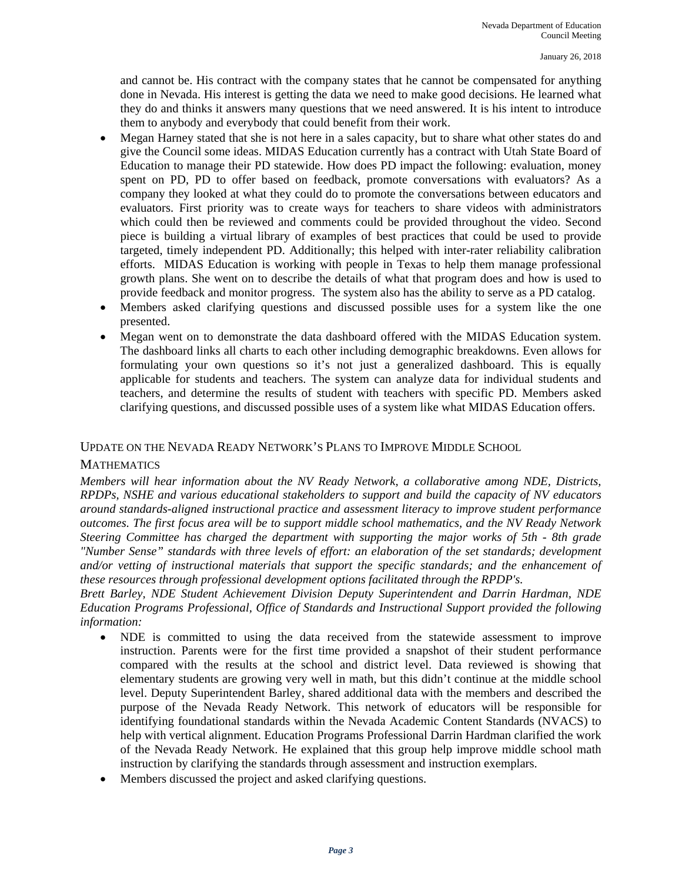and cannot be. His contract with the company states that he cannot be compensated for anything done in Nevada. His interest is getting the data we need to make good decisions. He learned what they do and thinks it answers many questions that we need answered. It is his intent to introduce them to anybody and everybody that could benefit from their work.

- Megan Harney stated that she is not here in a sales capacity, but to share what other states do and give the Council some ideas. MIDAS Education currently has a contract with Utah State Board of Education to manage their PD statewide. How does PD impact the following: evaluation, money spent on PD, PD to offer based on feedback, promote conversations with evaluators? As a company they looked at what they could do to promote the conversations between educators and evaluators. First priority was to create ways for teachers to share videos with administrators which could then be reviewed and comments could be provided throughout the video. Second piece is building a virtual library of examples of best practices that could be used to provide targeted, timely independent PD. Additionally; this helped with inter-rater reliability calibration efforts. MIDAS Education is working with people in Texas to help them manage professional growth plans. She went on to describe the details of what that program does and how is used to provide feedback and monitor progress. The system also has the ability to serve as a PD catalog.
- Members asked clarifying questions and discussed possible uses for a system like the one presented.
- Megan went on to demonstrate the data dashboard offered with the MIDAS Education system. The dashboard links all charts to each other including demographic breakdowns. Even allows for formulating your own questions so it's not just a generalized dashboard. This is equally applicable for students and teachers. The system can analyze data for individual students and teachers, and determine the results of student with teachers with specific PD. Members asked clarifying questions, and discussed possible uses of a system like what MIDAS Education offers.

## UPDATE ON THE NEVADA READY NETWORK'S PLANS TO IMPROVE MIDDLE SCHOOL

#### **MATHEMATICS**

*Members will hear information about the NV Ready Network, a collaborative among NDE, Districts, RPDPs, NSHE and various educational stakeholders to support and build the capacity of NV educators around standards-aligned instructional practice and assessment literacy to improve student performance outcomes. The first focus area will be to support middle school mathematics, and the NV Ready Network Steering Committee has charged the department with supporting the major works of 5th - 8th grade "Number Sense" standards with three levels of effort: an elaboration of the set standards; development and/or vetting of instructional materials that support the specific standards; and the enhancement of these resources through professional development options facilitated through the RPDP's.*

*Brett Barley, NDE Student Achievement Division Deputy Superintendent and Darrin Hardman, NDE Education Programs Professional, Office of Standards and Instructional Support provided the following information:*

- NDE is committed to using the data received from the statewide assessment to improve instruction. Parents were for the first time provided a snapshot of their student performance compared with the results at the school and district level. Data reviewed is showing that elementary students are growing very well in math, but this didn't continue at the middle school level. Deputy Superintendent Barley, shared additional data with the members and described the purpose of the Nevada Ready Network. This network of educators will be responsible for identifying foundational standards within the Nevada Academic Content Standards (NVACS) to help with vertical alignment. Education Programs Professional Darrin Hardman clarified the work of the Nevada Ready Network. He explained that this group help improve middle school math instruction by clarifying the standards through assessment and instruction exemplars.
- Members discussed the project and asked clarifying questions.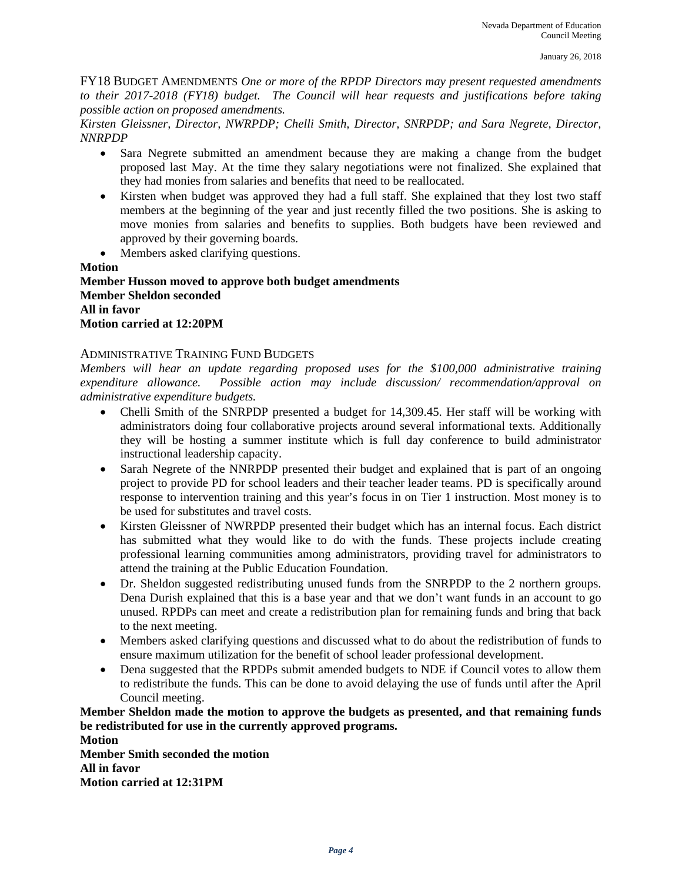FY18 BUDGET AMENDMENTS *One or more of the RPDP Directors may present requested amendments to their 2017-2018 (FY18) budget. The Council will hear requests and justifications before taking possible action on proposed amendments.* 

*Kirsten Gleissner, Director, NWRPDP; Chelli Smith, Director, SNRPDP; and Sara Negrete, Director, NNRPDP*

- Sara Negrete submitted an amendment because they are making a change from the budget proposed last May. At the time they salary negotiations were not finalized. She explained that they had monies from salaries and benefits that need to be reallocated.
- Kirsten when budget was approved they had a full staff. She explained that they lost two staff members at the beginning of the year and just recently filled the two positions. She is asking to move monies from salaries and benefits to supplies. Both budgets have been reviewed and approved by their governing boards.
- Members asked clarifying questions.

**Motion**

**Member Husson moved to approve both budget amendments Member Sheldon seconded All in favor Motion carried at 12:20PM**

#### ADMINISTRATIVE TRAINING FUND BUDGETS

*Members will hear an update regarding proposed uses for the \$100,000 administrative training expenditure allowance. Possible action may include discussion/ recommendation/approval on administrative expenditure budgets.* 

- Chelli Smith of the SNRPDP presented a budget for 14,309.45. Her staff will be working with administrators doing four collaborative projects around several informational texts. Additionally they will be hosting a summer institute which is full day conference to build administrator instructional leadership capacity.
- Sarah Negrete of the NNRPDP presented their budget and explained that is part of an ongoing project to provide PD for school leaders and their teacher leader teams. PD is specifically around response to intervention training and this year's focus in on Tier 1 instruction. Most money is to be used for substitutes and travel costs.
- Kirsten Gleissner of NWRPDP presented their budget which has an internal focus. Each district has submitted what they would like to do with the funds. These projects include creating professional learning communities among administrators, providing travel for administrators to attend the training at the Public Education Foundation.
- Dr. Sheldon suggested redistributing unused funds from the SNRPDP to the 2 northern groups. Dena Durish explained that this is a base year and that we don't want funds in an account to go unused. RPDPs can meet and create a redistribution plan for remaining funds and bring that back to the next meeting.
- Members asked clarifying questions and discussed what to do about the redistribution of funds to ensure maximum utilization for the benefit of school leader professional development.
- Dena suggested that the RPDPs submit amended budgets to NDE if Council votes to allow them to redistribute the funds. This can be done to avoid delaying the use of funds until after the April Council meeting.

**Member Sheldon made the motion to approve the budgets as presented, and that remaining funds be redistributed for use in the currently approved programs.**

**Motion Member Smith seconded the motion All in favor Motion carried at 12:31PM**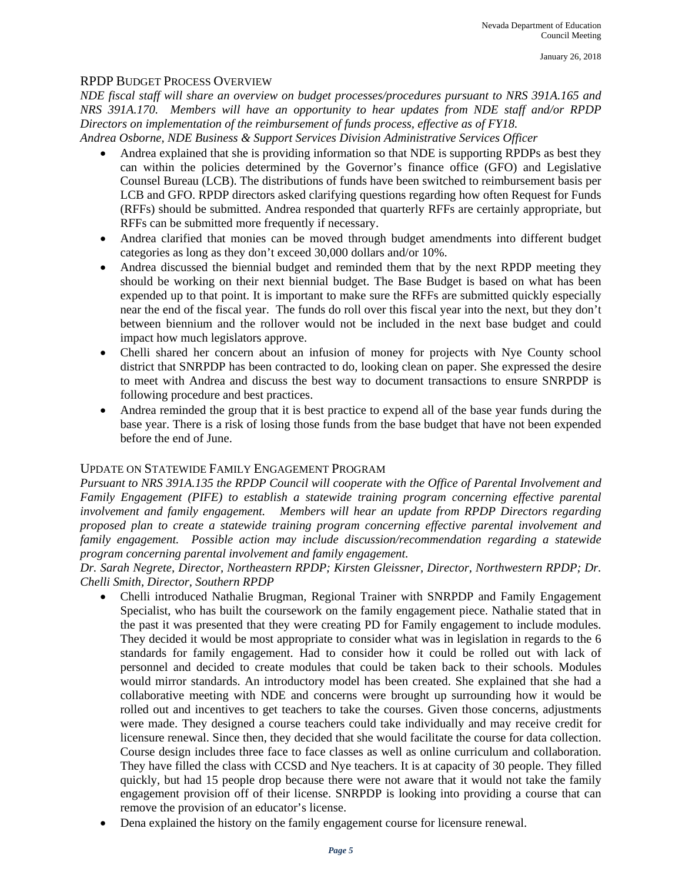## RPDP BUDGET PROCESS OVERVIEW

*NDE fiscal staff will share an overview on budget processes/procedures pursuant to NRS 391A.165 and NRS 391A.170. Members will have an opportunity to hear updates from NDE staff and/or RPDP Directors on implementation of the reimbursement of funds process, effective as of FY18. Andrea Osborne, NDE Business & Support Services Division Administrative Services Officer* 

- Andrea explained that she is providing information so that NDE is supporting RPDPs as best they can within the policies determined by the Governor's finance office (GFO) and Legislative Counsel Bureau (LCB). The distributions of funds have been switched to reimbursement basis per LCB and GFO. RPDP directors asked clarifying questions regarding how often Request for Funds (RFFs) should be submitted. Andrea responded that quarterly RFFs are certainly appropriate, but RFFs can be submitted more frequently if necessary.
- Andrea clarified that monies can be moved through budget amendments into different budget categories as long as they don't exceed 30,000 dollars and/or 10%.
- Andrea discussed the biennial budget and reminded them that by the next RPDP meeting they should be working on their next biennial budget. The Base Budget is based on what has been expended up to that point. It is important to make sure the RFFs are submitted quickly especially near the end of the fiscal year. The funds do roll over this fiscal year into the next, but they don't between biennium and the rollover would not be included in the next base budget and could impact how much legislators approve.
- Chelli shared her concern about an infusion of money for projects with Nye County school district that SNRPDP has been contracted to do, looking clean on paper. She expressed the desire to meet with Andrea and discuss the best way to document transactions to ensure SNRPDP is following procedure and best practices.
- Andrea reminded the group that it is best practice to expend all of the base year funds during the base year. There is a risk of losing those funds from the base budget that have not been expended before the end of June.

## UPDATE ON STATEWIDE FAMILY ENGAGEMENT PROGRAM

*Pursuant to NRS 391A.135 the RPDP Council will cooperate with the Office of Parental Involvement and Family Engagement (PIFE) to establish a statewide training program concerning effective parental involvement and family engagement. Members will hear an update from RPDP Directors regarding proposed plan to create a statewide training program concerning effective parental involvement and family engagement. Possible action may include discussion/recommendation regarding a statewide program concerning parental involvement and family engagement.*

*Dr. Sarah Negrete, Director, Northeastern RPDP; Kirsten Gleissner, Director, Northwestern RPDP; Dr. Chelli Smith, Director, Southern RPDP*

- Chelli introduced Nathalie Brugman, Regional Trainer with SNRPDP and Family Engagement Specialist, who has built the coursework on the family engagement piece. Nathalie stated that in the past it was presented that they were creating PD for Family engagement to include modules. They decided it would be most appropriate to consider what was in legislation in regards to the 6 standards for family engagement. Had to consider how it could be rolled out with lack of personnel and decided to create modules that could be taken back to their schools. Modules would mirror standards. An introductory model has been created. She explained that she had a collaborative meeting with NDE and concerns were brought up surrounding how it would be rolled out and incentives to get teachers to take the courses. Given those concerns, adjustments were made. They designed a course teachers could take individually and may receive credit for licensure renewal. Since then, they decided that she would facilitate the course for data collection. Course design includes three face to face classes as well as online curriculum and collaboration. They have filled the class with CCSD and Nye teachers. It is at capacity of 30 people. They filled quickly, but had 15 people drop because there were not aware that it would not take the family engagement provision off of their license. SNRPDP is looking into providing a course that can remove the provision of an educator's license.
- Dena explained the history on the family engagement course for licensure renewal.